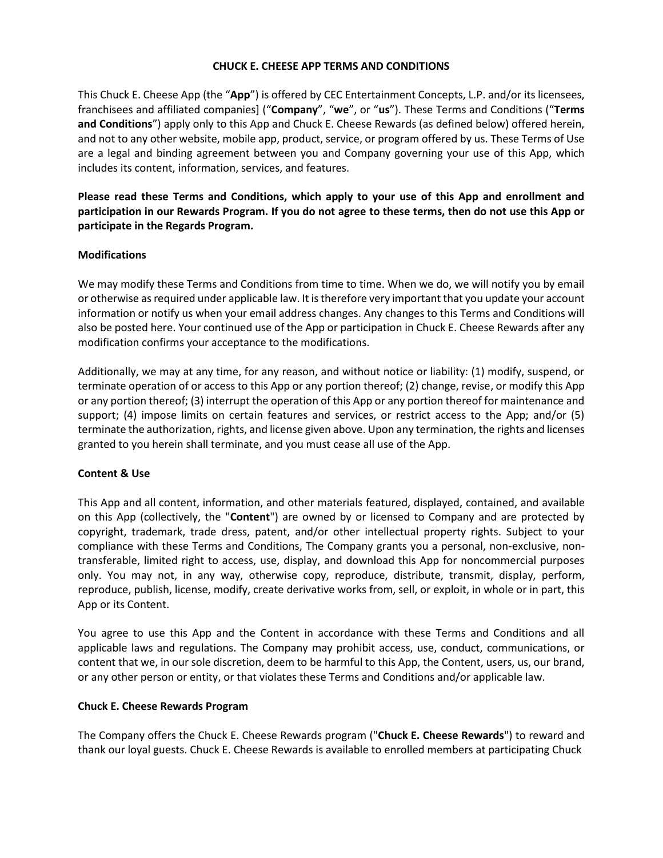## **CHUCK E. CHEESE APP TERMS AND CONDITIONS**

This Chuck E. Cheese App (the "**App**") is offered by CEC Entertainment Concepts, L.P. and/or its licensees, franchisees and affiliated companies] ("**Company**", "**we**", or "**us**"). These Terms and Conditions ("**Terms and Conditions**") apply only to this App and Chuck E. Cheese Rewards (as defined below) offered herein, and not to any other website, mobile app, product, service, or program offered by us. These Terms of Use are a legal and binding agreement between you and Company governing your use of this App, which includes its content, information, services, and features.

**Please read these Terms and Conditions, which apply to your use of this App and enrollment and participation in our Rewards Program. If you do not agree to these terms, then do not use this App or participate in the Regards Program.**

# **Modifications**

We may modify these Terms and Conditions from time to time. When we do, we will notify you by email or otherwise as required under applicable law. It is therefore very important that you update your account information or notify us when your email address changes. Any changes to this Terms and Conditions will also be posted here. Your continued use of the App or participation in Chuck E. Cheese Rewards after any modification confirms your acceptance to the modifications.

Additionally, we may at any time, for any reason, and without notice or liability: (1) modify, suspend, or terminate operation of or access to this App or any portion thereof; (2) change, revise, or modify this App or any portion thereof; (3) interrupt the operation of this App or any portion thereof for maintenance and support; (4) impose limits on certain features and services, or restrict access to the App; and/or (5) terminate the authorization, rights, and license given above. Upon any termination, the rights and licenses granted to you herein shall terminate, and you must cease all use of the App.

# **Content & Use**

This App and all content, information, and other materials featured, displayed, contained, and available on this App (collectively, the "**Content**") are owned by or licensed to Company and are protected by copyright, trademark, trade dress, patent, and/or other intellectual property rights. Subject to your compliance with these Terms and Conditions, The Company grants you a personal, non-exclusive, nontransferable, limited right to access, use, display, and download this App for noncommercial purposes only. You may not, in any way, otherwise copy, reproduce, distribute, transmit, display, perform, reproduce, publish, license, modify, create derivative works from, sell, or exploit, in whole or in part, this App or its Content.

You agree to use this App and the Content in accordance with these Terms and Conditions and all applicable laws and regulations. The Company may prohibit access, use, conduct, communications, or content that we, in our sole discretion, deem to be harmful to this App, the Content, users, us, our brand, or any other person or entity, or that violates these Terms and Conditions and/or applicable law.

#### **Chuck E. Cheese Rewards Program**

The Company offers the Chuck E. Cheese Rewards program ("**Chuck E. Cheese Rewards**") to reward and thank our loyal guests. Chuck E. Cheese Rewards is available to enrolled members at participating Chuck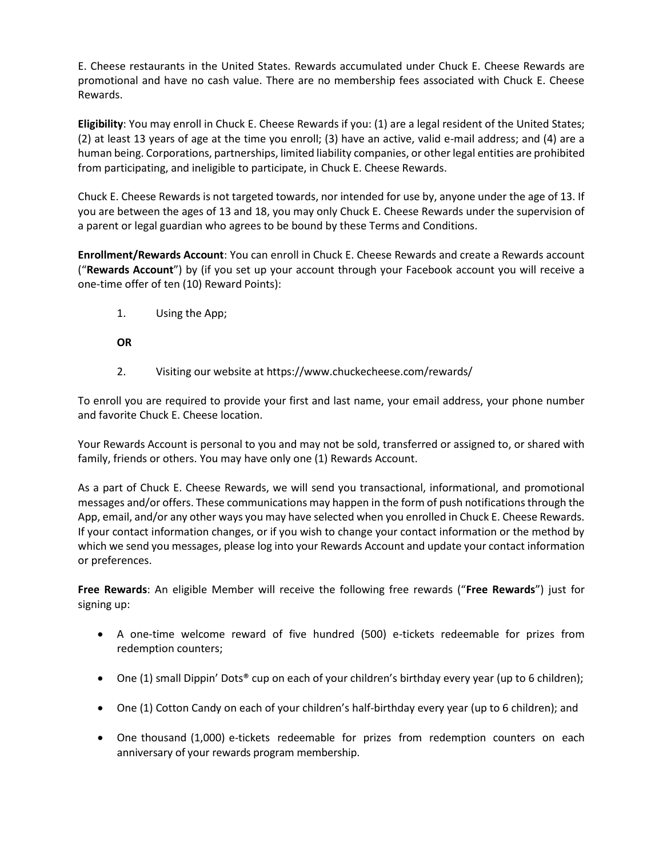E. Cheese restaurants in the United States. Rewards accumulated under Chuck E. Cheese Rewards are promotional and have no cash value. There are no membership fees associated with Chuck E. Cheese Rewards.

**Eligibility**: You may enroll in Chuck E. Cheese Rewards if you: (1) are a legal resident of the United States; (2) at least 13 years of age at the time you enroll; (3) have an active, valid e-mail address; and (4) are a human being. Corporations, partnerships, limited liability companies, or other legal entities are prohibited from participating, and ineligible to participate, in Chuck E. Cheese Rewards.

Chuck E. Cheese Rewards is not targeted towards, nor intended for use by, anyone under the age of 13. If you are between the ages of 13 and 18, you may only Chuck E. Cheese Rewards under the supervision of a parent or legal guardian who agrees to be bound by these Terms and Conditions.

**Enrollment/Rewards Account**: You can enroll in Chuck E. Cheese Rewards and create a Rewards account ("**Rewards Account**") by (if you set up your account through your Facebook account you will receive a one-time offer of ten (10) Reward Points):

1. Using the App;

**OR**

2. Visiting our website at https://www.chuckecheese.com/rewards/

To enroll you are required to provide your first and last name, your email address, your phone number and favorite Chuck E. Cheese location.

Your Rewards Account is personal to you and may not be sold, transferred or assigned to, or shared with family, friends or others. You may have only one (1) Rewards Account.

As a part of Chuck E. Cheese Rewards, we will send you transactional, informational, and promotional messages and/or offers. These communications may happen in the form of push notifications through the App, email, and/or any other ways you may have selected when you enrolled in Chuck E. Cheese Rewards. If your contact information changes, or if you wish to change your contact information or the method by which we send you messages, please log into your Rewards Account and update your contact information or preferences.

**Free Rewards**: An eligible Member will receive the following free rewards ("**Free Rewards**") just for signing up:

- A one-time welcome reward of five hundred (500) e-tickets redeemable for prizes from redemption counters;
- One (1) small Dippin' Dots<sup>®</sup> cup on each of your children's birthday every year (up to 6 children);
- One (1) Cotton Candy on each of your children's half-birthday every year (up to 6 children); and
- One thousand (1,000) e-tickets redeemable for prizes from redemption counters on each anniversary of your rewards program membership.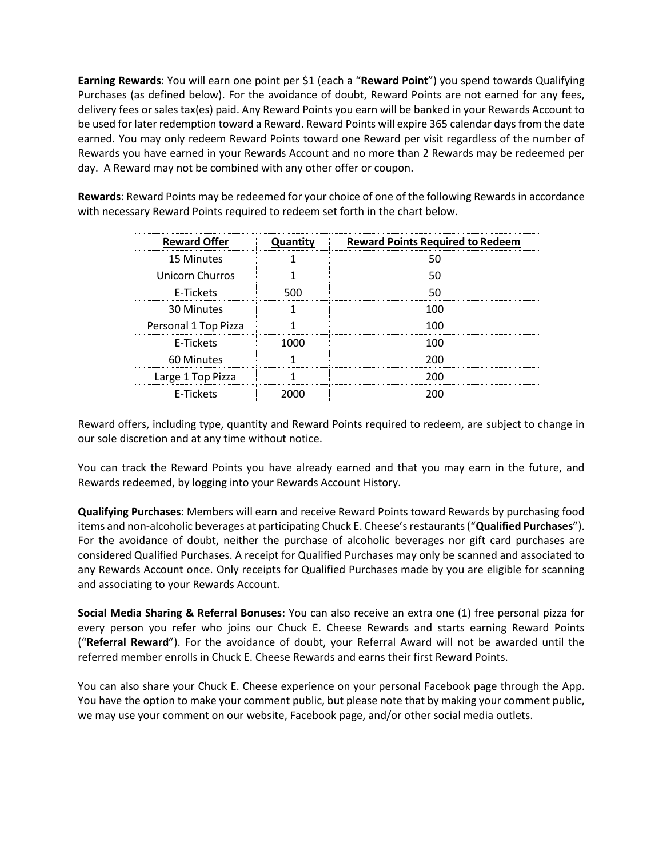**Earning Rewards**: You will earn one point per \$1 (each a "**Reward Point**") you spend towards Qualifying Purchases (as defined below). For the avoidance of doubt, Reward Points are not earned for any fees, delivery fees or sales tax(es) paid. Any Reward Points you earn will be banked in your Rewards Account to be used for later redemption toward a Reward. Reward Points will expire 365 calendar days from the date earned. You may only redeem Reward Points toward one Reward per visit regardless of the number of Rewards you have earned in your Rewards Account and no more than 2 Rewards may be redeemed per day. A Reward may not be combined with any other offer or coupon.

**Rewards**: Reward Points may be redeemed for your choice of one of the following Rewards in accordance with necessary Reward Points required to redeem set forth in the chart below.

| <b>Reward Offer</b>  | <b>Quantity</b> | <b>Reward Points Required to Redeem</b> |
|----------------------|-----------------|-----------------------------------------|
| 15 Minutes           |                 |                                         |
| Unicorn Churros      |                 |                                         |
| E-Tickets            | 500             |                                         |
| 30 Minutes           |                 | 100                                     |
| Personal 1 Top Pizza |                 | 100                                     |
| E-Tickets            | 1000            | 1 በበ                                    |
| 60 Minutes           |                 | 200                                     |
| Large 1 Top Pizza    |                 | חמכ                                     |
| <b>E-Tickets</b>     |                 |                                         |

Reward offers, including type, quantity and Reward Points required to redeem, are subject to change in our sole discretion and at any time without notice.

You can track the Reward Points you have already earned and that you may earn in the future, and Rewards redeemed, by logging into your Rewards Account History.

**Qualifying Purchases**: Members will earn and receive Reward Points toward Rewards by purchasing food items and non-alcoholic beverages at participating Chuck E. Cheese's restaurants ("**Qualified Purchases**"). For the avoidance of doubt, neither the purchase of alcoholic beverages nor gift card purchases are considered Qualified Purchases. A receipt for Qualified Purchases may only be scanned and associated to any Rewards Account once. Only receipts for Qualified Purchases made by you are eligible for scanning and associating to your Rewards Account.

**Social Media Sharing & Referral Bonuses**: You can also receive an extra one (1) free personal pizza for every person you refer who joins our Chuck E. Cheese Rewards and starts earning Reward Points ("**Referral Reward**"). For the avoidance of doubt, your Referral Award will not be awarded until the referred member enrolls in Chuck E. Cheese Rewards and earns their first Reward Points.

You can also share your Chuck E. Cheese experience on your personal Facebook page through the App. You have the option to make your comment public, but please note that by making your comment public, we may use your comment on our website, Facebook page, and/or other social media outlets.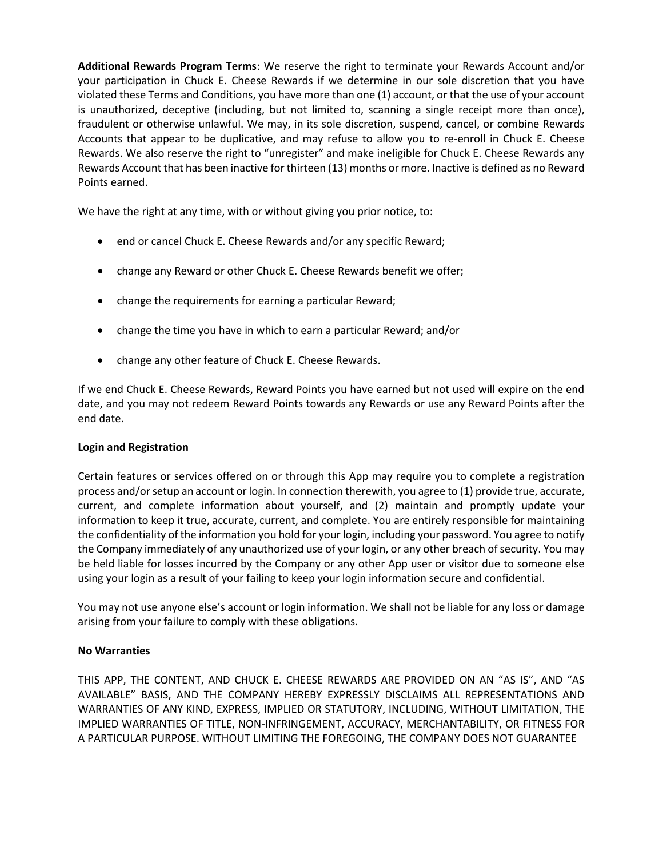**Additional Rewards Program Terms**: We reserve the right to terminate your Rewards Account and/or your participation in Chuck E. Cheese Rewards if we determine in our sole discretion that you have violated these Terms and Conditions, you have more than one (1) account, or that the use of your account is unauthorized, deceptive (including, but not limited to, scanning a single receipt more than once), fraudulent or otherwise unlawful. We may, in its sole discretion, suspend, cancel, or combine Rewards Accounts that appear to be duplicative, and may refuse to allow you to re-enroll in Chuck E. Cheese Rewards. We also reserve the right to "unregister" and make ineligible for Chuck E. Cheese Rewards any Rewards Account that has been inactive for thirteen (13) months or more. Inactive is defined as no Reward Points earned.

We have the right at any time, with or without giving you prior notice, to:

- end or cancel Chuck E. Cheese Rewards and/or any specific Reward;
- change any Reward or other Chuck E. Cheese Rewards benefit we offer;
- change the requirements for earning a particular Reward;
- change the time you have in which to earn a particular Reward; and/or
- change any other feature of Chuck E. Cheese Rewards.

If we end Chuck E. Cheese Rewards, Reward Points you have earned but not used will expire on the end date, and you may not redeem Reward Points towards any Rewards or use any Reward Points after the end date.

# **Login and Registration**

Certain features or services offered on or through this App may require you to complete a registration process and/or setup an account or login. In connection therewith, you agree to (1) provide true, accurate, current, and complete information about yourself, and (2) maintain and promptly update your information to keep it true, accurate, current, and complete. You are entirely responsible for maintaining the confidentiality of the information you hold for your login, including your password. You agree to notify the Company immediately of any unauthorized use of your login, or any other breach of security. You may be held liable for losses incurred by the Company or any other App user or visitor due to someone else using your login as a result of your failing to keep your login information secure and confidential.

You may not use anyone else's account or login information. We shall not be liable for any loss or damage arising from your failure to comply with these obligations.

# **No Warranties**

THIS APP, THE CONTENT, AND CHUCK E. CHEESE REWARDS ARE PROVIDED ON AN "AS IS", AND "AS AVAILABLE" BASIS, AND THE COMPANY HEREBY EXPRESSLY DISCLAIMS ALL REPRESENTATIONS AND WARRANTIES OF ANY KIND, EXPRESS, IMPLIED OR STATUTORY, INCLUDING, WITHOUT LIMITATION, THE IMPLIED WARRANTIES OF TITLE, NON-INFRINGEMENT, ACCURACY, MERCHANTABILITY, OR FITNESS FOR A PARTICULAR PURPOSE. WITHOUT LIMITING THE FOREGOING, THE COMPANY DOES NOT GUARANTEE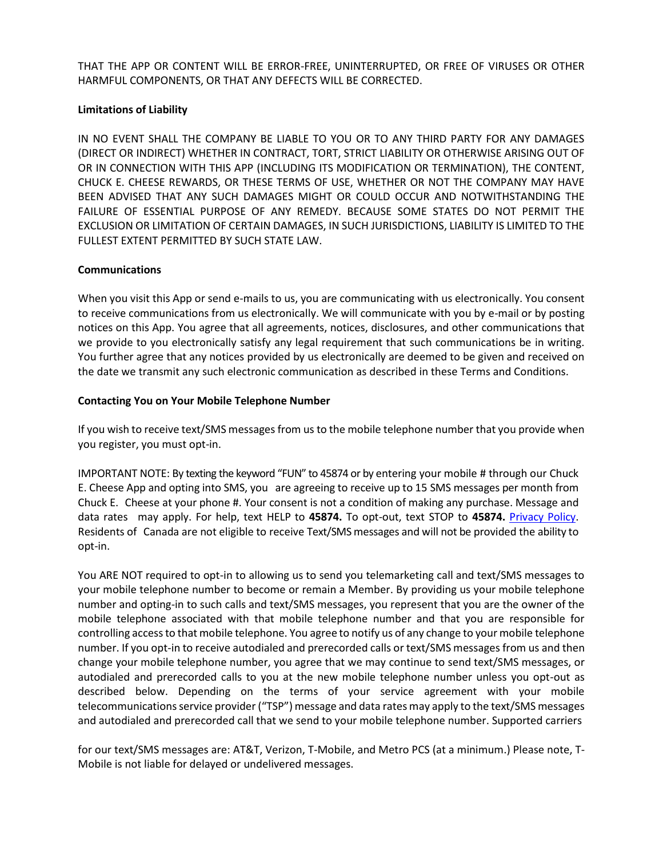THAT THE APP OR CONTENT WILL BE ERROR-FREE, UNINTERRUPTED, OR FREE OF VIRUSES OR OTHER HARMFUL COMPONENTS, OR THAT ANY DEFECTS WILL BE CORRECTED.

# **Limitations of Liability**

IN NO EVENT SHALL THE COMPANY BE LIABLE TO YOU OR TO ANY THIRD PARTY FOR ANY DAMAGES (DIRECT OR INDIRECT) WHETHER IN CONTRACT, TORT, STRICT LIABILITY OR OTHERWISE ARISING OUT OF OR IN CONNECTION WITH THIS APP (INCLUDING ITS MODIFICATION OR TERMINATION), THE CONTENT, CHUCK E. CHEESE REWARDS, OR THESE TERMS OF USE, WHETHER OR NOT THE COMPANY MAY HAVE BEEN ADVISED THAT ANY SUCH DAMAGES MIGHT OR COULD OCCUR AND NOTWITHSTANDING THE FAILURE OF ESSENTIAL PURPOSE OF ANY REMEDY. BECAUSE SOME STATES DO NOT PERMIT THE EXCLUSION OR LIMITATION OF CERTAIN DAMAGES, IN SUCH JURISDICTIONS, LIABILITY IS LIMITED TO THE FULLEST EXTENT PERMITTED BY SUCH STATE LAW.

### **Communications**

When you visit this App or send e-mails to us, you are communicating with us electronically. You consent to receive communications from us electronically. We will communicate with you by e-mail or by posting notices on this App. You agree that all agreements, notices, disclosures, and other communications that we provide to you electronically satisfy any legal requirement that such communications be in writing. You further agree that any notices provided by us electronically are deemed to be given and received on the date we transmit any such electronic communication as described in these Terms and Conditions.

### **Contacting You on Your Mobile Telephone Number**

If you wish to receive text/SMS messages from us to the mobile telephone number that you provide when you register, you must opt-in.

IMPORTANT NOTE: By texting the keyword "FUN" to 45874 or by entering your mobile # through our Chuck E. Cheese App and opting into SMS, you are agreeing to receive up to 15 SMS messages per month from Chuck E. Cheese at your phone #. Your consent is not a condition of making any purchase. Message and data rates may apply. For help, text HELP to **45874.** To opt-out, text STOP to **45874.** [Privacy](https://www.chuckecheese.com/terms-conditions/privacy/) Policy. Residents of Canada are not eligible to receive Text/SMS messages and will not be provided the ability to opt-in.

You ARE NOT required to opt-in to allowing us to send you telemarketing call and text/SMS messages to your mobile telephone number to become or remain a Member. By providing us your mobile telephone number and opting-in to such calls and text/SMS messages, you represent that you are the owner of the mobile telephone associated with that mobile telephone number and that you are responsible for controlling access to that mobile telephone. You agree to notify us of any change to your mobile telephone number. If you opt-in to receive autodialed and prerecorded calls or text/SMS messages from us and then change your mobile telephone number, you agree that we may continue to send text/SMS messages, or autodialed and prerecorded calls to you at the new mobile telephone number unless you opt-out as described below. Depending on the terms of your service agreement with your mobile telecommunications service provider ("TSP") message and data rates may apply to the text/SMS messages and autodialed and prerecorded call that we send to your mobile telephone number. Supported carriers

for our text/SMS messages are: AT&T, Verizon, T-Mobile, and Metro PCS (at a minimum.) Please note, T-Mobile is not liable for delayed or undelivered messages.